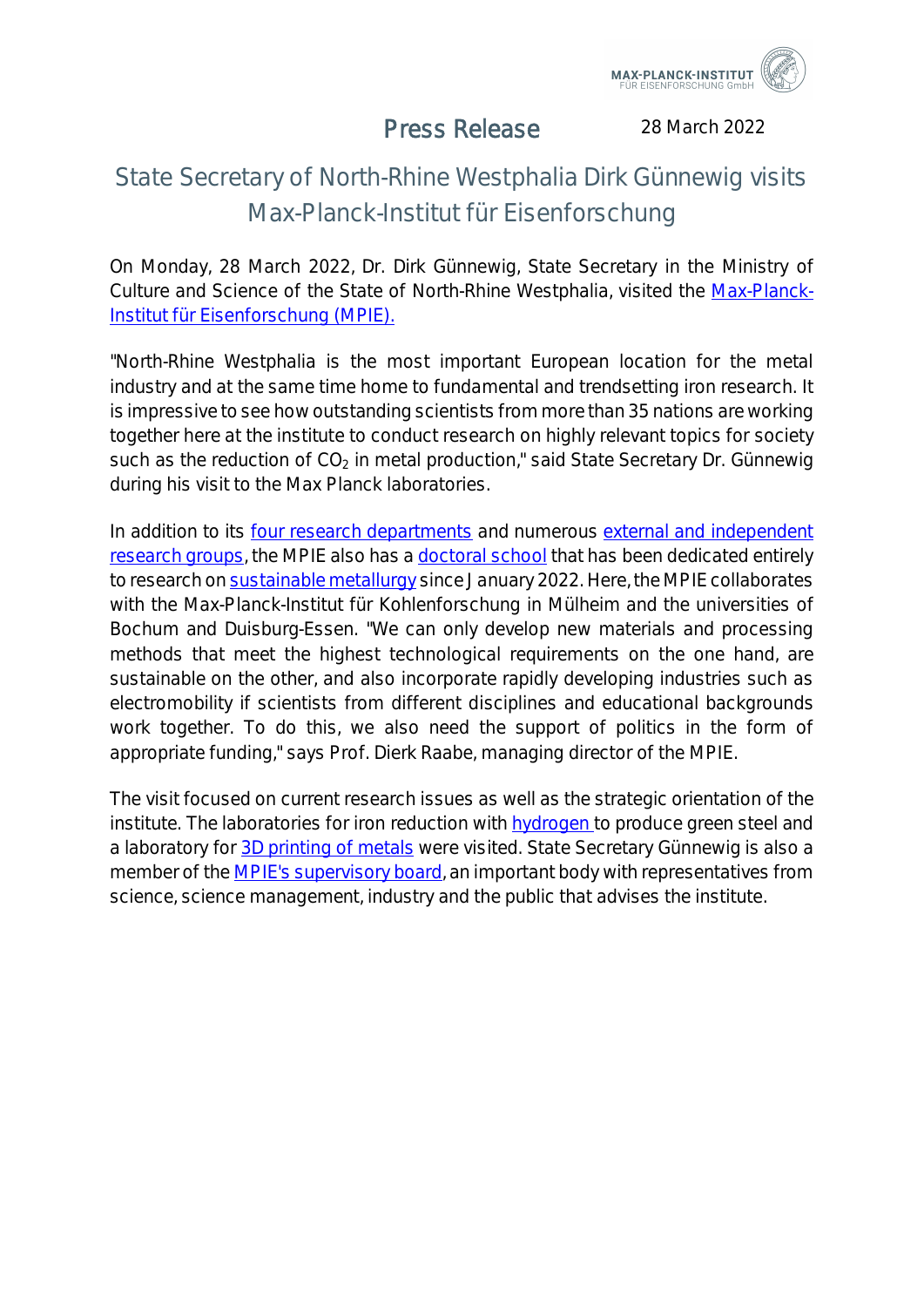

## Press Release

28 March 2022

## State Secretary of North-Rhine Westphalia Dirk Günnewig visits Max-Planck-Institut für Eisenforschung

On Monday, 28 March 2022, Dr. Dirk Günnewig, State Secretary in the Ministry of Culture and Science of the State of North-Rhine Westphalia, visited the Max-Planck-Institut für Eisenforschung (MPIE).

"North-Rhine Westphalia is the most important European location for the metal industry and at the same time home to fundamental and trendsetting iron research. It is impressive to see how outstanding scientists from more than 35 nations are working together here at the institute to conduct research on highly relevant topics for society such as the reduction of  $CO<sub>2</sub>$  in metal production," said State Secretary Dr. Günnewig during his visit to the Max Planck laboratories.

In addition to its four research departments and numerous external and independent research groups, the MPIE also has a doctoral school that has been dedicated entirely to research on sustainable metallurgy since January 2022. Here, the MPIE collaborates with the Max-Planck-Institut für Kohlenforschung in Mülheim and the universities of Bochum and Duisburg-Essen. "We can only develop new materials and processing methods that meet the highest technological requirements on the one hand, are sustainable on the other, and also incorporate rapidly developing industries such as electromobility if scientists from different disciplines and educational backgrounds work together. To do this, we also need the support of politics in the form of appropriate funding," says Prof. Dierk Raabe, managing director of the MPIE.

The visit focused on current research issues as well as the strategic orientation of the institute. The laboratories for iron reduction with hydrogen to produce green steel and a laboratory for 3D printing of metals were visited. State Secretary Günnewig is also a member of the MPIE's supervisory board, an important body with representatives from science, science management, industry and the public that advises the institute.